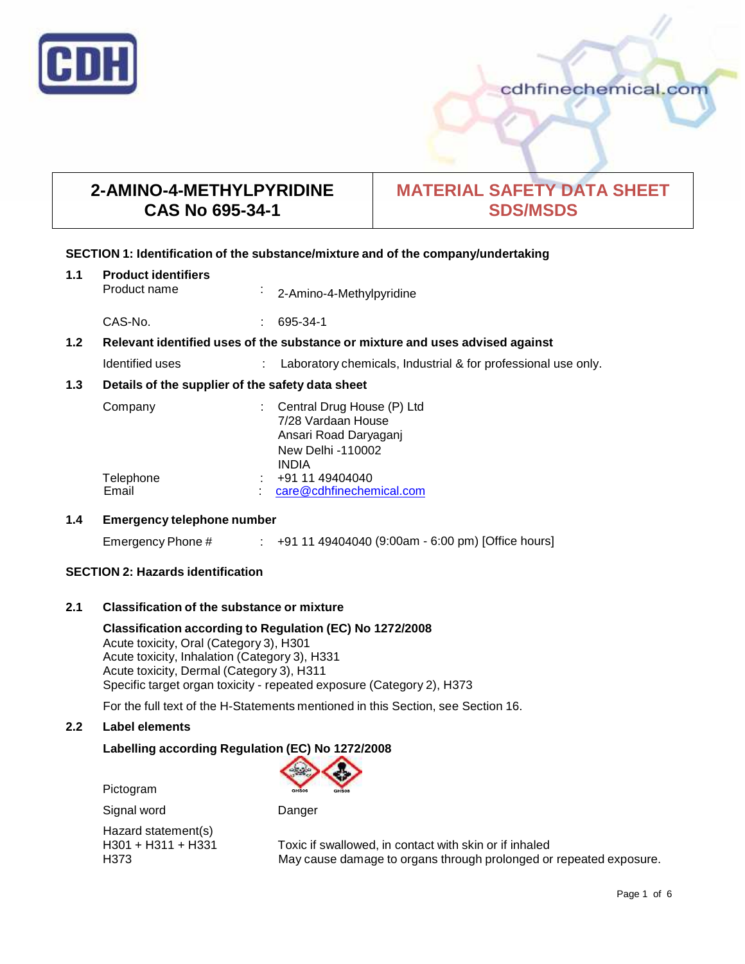

# **2-AMINO-4-METHYLPYRIDINE CAS No 695-34-1**

# **MATERIAL SAFETY DATA SHEET SDS/MSDS**

## **SECTION 1: Identification of the substance/mixture and of the company/undertaking**

| 1.1 | <b>Product identifiers</b> |                          |
|-----|----------------------------|--------------------------|
|     | Product name               | 2-Amino-4-Methylpyridine |

CAS-No. : 695-34-1

## **1.2 Relevant identified uses of the substance ormixture and uses advised against**

| Identified uses | Laboratory chemicals, Industrial & for professional use only. |  |
|-----------------|---------------------------------------------------------------|--|
|                 |                                                               |  |

## **1.3 Details of the supplier of the safety data sheet**

| Company             | : Central Drug House (P) Ltd |
|---------------------|------------------------------|
|                     | 7/28 Vardaan House           |
|                     | Ansari Road Daryaganj        |
|                     | New Delhi -110002            |
|                     | <b>INDIA</b>                 |
| Telephone<br>$\sim$ | +91 11 49404040              |
| Email               | care@cdhfinechemical.com     |

## **1.4 Emergency telephone number**

Emergency Phone # : +91 11 49404040 (9:00am - 6:00 pm) [Office hours]

## **SECTION 2: Hazards identification**

## **2.1 Classification of the substance ormixture**

**Classification according to Regulation (EC) No 1272/2008** Acute toxicity, Oral (Category 3), H301 Acute toxicity, Inhalation (Category 3), H331 Acute toxicity, Dermal (Category 3), H311 Specific target organ toxicity - repeated exposure (Category 2), H373

For the full text of the H-Statements mentioned in this Section, see Section 16.

## **2.2 Label elements**

## **Labelling according Regulation (EC) No 1272/2008**

Pictogram



Signal word Danger

Hazard statement(s)<br>H301 + H311 + H331

Toxic if swallowed, in contact with skin or if inhaled H373 May cause damage to organs through prolonged or repeated exposure.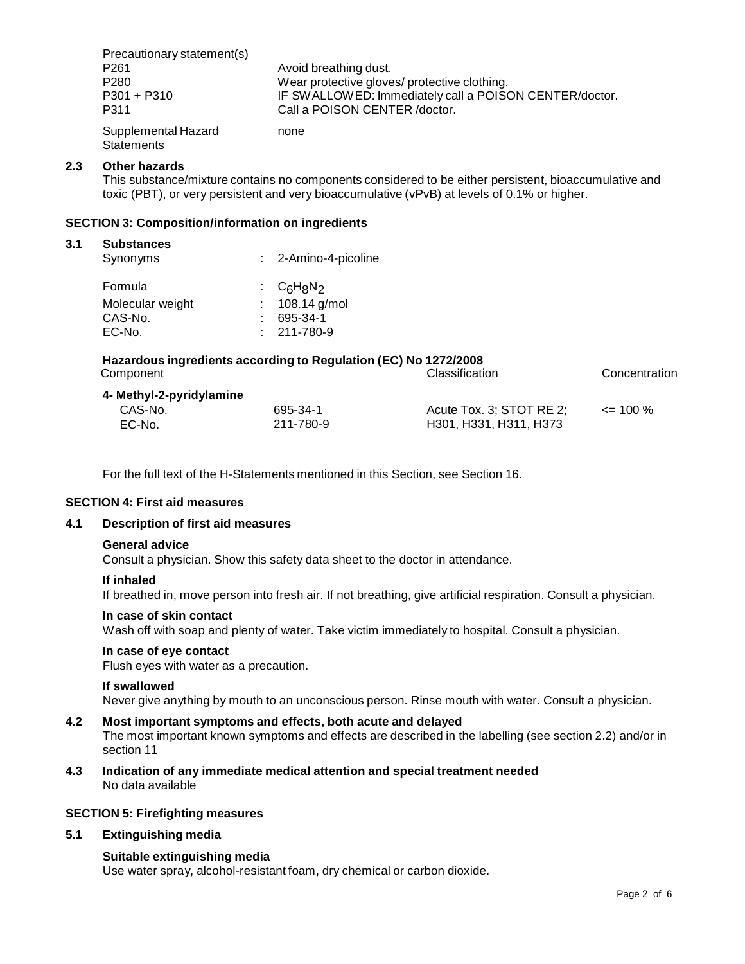Precautionary statement(s) P261 **Avoid breathing dust.**<br>P280 **Avoid breathing dust**.<br>Wear protective glove Wear protective gloves/ protective clothing. P301 + P310 **IF SWALLOWED: Immediately call a POISON CENTER/doctor.** P311 Call a POISON CENTER /doctor. Supplemental Hazard **Statements** none

### **2.3 Other hazards**

This substance/mixture contains no components considered to be either persistent, bioaccumulative and toxic (PBT), or very persistent and very bioaccumulative (vPvB) at levels of 0.1% or higher.

#### **SECTION 3: Composition/information on ingredients**

#### **3.1 Substances**

| Synonyms         | : 2-Amino-4-picoline |  |
|------------------|----------------------|--|
| Formula          | : $C_6H_8N_2$        |  |
| Molecular weight | : $108.14$ g/mol     |  |
| CAS-No.          | 695-34-1             |  |
| EC-No.           | $: 211 - 780 - 9$    |  |
|                  |                      |  |

| Hazardous ingredients according to Regulation (EC) No 1272/2008 |                |               |
|-----------------------------------------------------------------|----------------|---------------|
| Component                                                       | Classification | Concentration |
| 4- Methyl-2-pyridylamine                                        |                |               |

| CAS-No. | 695-34-1  | Acute Tox. 3; STOT RE 2; | $\leq$ 100 % |
|---------|-----------|--------------------------|--------------|
| EC-No.  | 211-780-9 | H301, H331, H311, H373   |              |

For the full text of the H-Statements mentioned in this Section, see Section 16.

## **SECTION 4: First aid measures**

### **4.1 Description of first aid measures**

#### **General advice**

Consult a physician. Show this safety data sheet to the doctor in attendance.

#### **If inhaled**

If breathed in, move person into fresh air. If not breathing, give artificial respiration. Consult a physician.

#### **In case of skin contact**

Wash off with soap and plenty of water. Take victim immediately to hospital. Consult a physician.

#### **In case of eye contact**

Flush eyes with water as a precaution.

#### **If swallowed**

Never give anything by mouth to an unconscious person. Rinse mouth with water. Consult a physician.

## **4.2 Most important symptoms and effects, both acute and delayed**

The most important known symptoms and effects are described in the labelling (see section 2.2) and/or in section 11

**4.3 Indication of any immediate medical attention and special treatment needed** No data available

#### **SECTION 5: Firefighting measures**

#### **5.1 Extinguishing media**

#### **Suitable extinguishing media**

Use water spray, alcohol-resistant foam, dry chemical or carbon dioxide.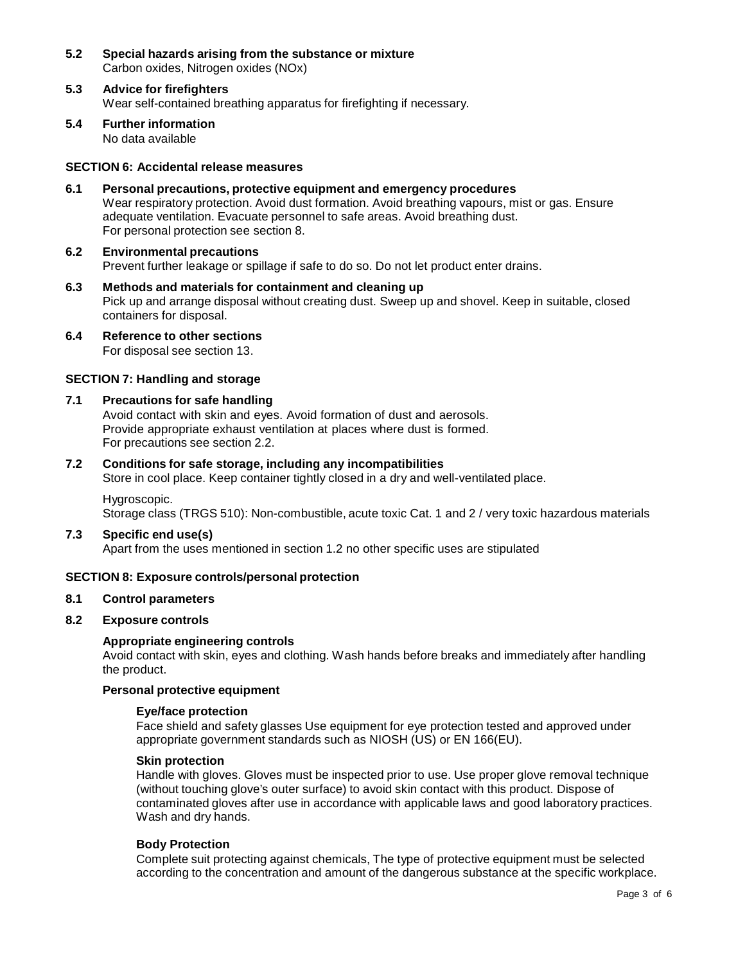- **5.2 Special hazards arising from the substance ormixture** Carbon oxides, Nitrogen oxides (NOx)
- **5.3 Advice for firefighters** Wear self-contained breathing apparatus for firefighting if necessary.
- **5.4 Further information** No data available

## **SECTION 6: Accidental release measures**

- **6.1 Personal precautions, protective equipment and emergency procedures** Wear respiratory protection. Avoid dust formation. Avoid breathing vapours, mist or gas. Ensure adequate ventilation. Evacuate personnel to safe areas. Avoid breathing dust. For personal protection see section 8.
- **6.2 Environmental precautions** Prevent further leakage or spillage if safe to do so. Do not let product enter drains.
- **6.3 Methods and materials for containment and cleaning up** Pick up and arrange disposal without creating dust. Sweep up and shovel. Keep in suitable, closed containers for disposal.
- **6.4 Reference to other sections** For disposal see section 13.

## **SECTION 7: Handling and storage**

### **7.1 Precautions for safe handling**

Avoid contact with skin and eyes. Avoid formation of dust and aerosols. Provide appropriate exhaust ventilation at places where dust is formed. For precautions see section 2.2.

#### **7.2 Conditions for safe storage, including any incompatibilities**

Store in cool place. Keep container tightly closed in a dry and well-ventilated place.

#### Hygroscopic.

Storage class (TRGS 510): Non-combustible, acute toxic Cat. 1 and 2 / very toxic hazardous materials

#### **7.3 Specific end use(s)**

Apart from the uses mentioned in section 1.2 no other specific uses are stipulated

## **SECTION 8: Exposure controls/personal protection**

### **8.1 Control parameters**

#### **8.2 Exposure controls**

#### **Appropriate engineering controls**

Avoid contact with skin, eyes and clothing. Wash hands before breaks and immediately after handling the product.

### **Personal protective equipment**

#### **Eye/face protection**

Face shield and safety glasses Use equipment for eye protection tested and approved under appropriate government standards such as NIOSH (US) or EN 166(EU).

#### **Skin protection**

Handle with gloves. Gloves must be inspected prior to use. Use proper glove removal technique (without touching glove's outer surface) to avoid skin contact with this product. Dispose of contaminated gloves after use in accordance with applicable laws and good laboratory practices. Wash and dry hands.

#### **Body Protection**

Complete suit protecting against chemicals, The type of protective equipment must be selected according to the concentration and amount of the dangerous substance at the specific workplace.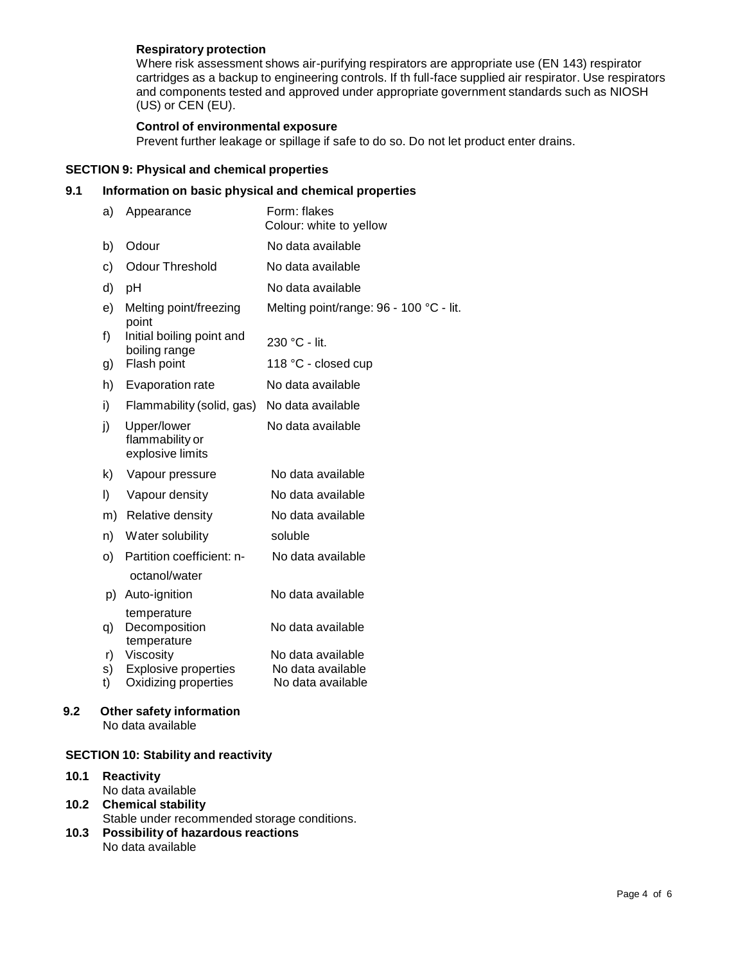## **Respiratory protection**

Where risk assessment shows air-purifying respirators are appropriate use (EN 143) respirator cartridges as a backup to engineering controls. If th full-face supplied air respirator. Use respirators and components tested and approved under appropriate government standards such as NIOSH (US) or CEN (EU).

## **Control of environmental exposure**

Prevent further leakage or spillage if safe to do so. Do not let product enter drains.

## **SECTION 9: Physical and chemical properties**

## **9.1 Information on basic physical and chemical properties**

| a)       | Appearance                                          | Form: flakes<br>Colour: white to yellow |
|----------|-----------------------------------------------------|-----------------------------------------|
| b)       | Odour                                               | No data available                       |
| c)       | <b>Odour Threshold</b>                              | No data available                       |
| d)       | pH                                                  | No data available                       |
| e)       | Melting point/freezing<br>point                     | Melting point/range: 96 - 100 °C - lit. |
| f)       | Initial boiling point and<br>boiling range          | 230 °C - lit.                           |
| g)       | Flash point                                         | 118 °C - closed cup                     |
| h)       | Evaporation rate                                    | No data available                       |
| i)       | Flammability (solid, gas)                           | No data available                       |
| j)       | Upper/lower<br>flammability or<br>explosive limits  | No data available                       |
| k)       | Vapour pressure                                     | No data available                       |
| I)       | Vapour density                                      | No data available                       |
| m)       | Relative density                                    | No data available                       |
| n)       | Water solubility                                    | soluble                                 |
| O)       | Partition coefficient: n-                           | No data available                       |
|          | octanol/water                                       |                                         |
| p)       | Auto-ignition                                       | No data available                       |
| q)       | temperature<br>Decomposition<br>temperature         | No data available                       |
| r)       | Viscosity                                           | No data available<br>No data available  |
| s)<br>t) | <b>Explosive properties</b><br>Oxidizing properties | No data available                       |

# **9.2 Other safety information**

No data available

## **SECTION 10: Stability and reactivity**

- **10.1 Reactivity** No data available **10.2 Chemical stability**
- Stable under recommended storage conditions.
- **10.3 Possibility of hazardous reactions** No data available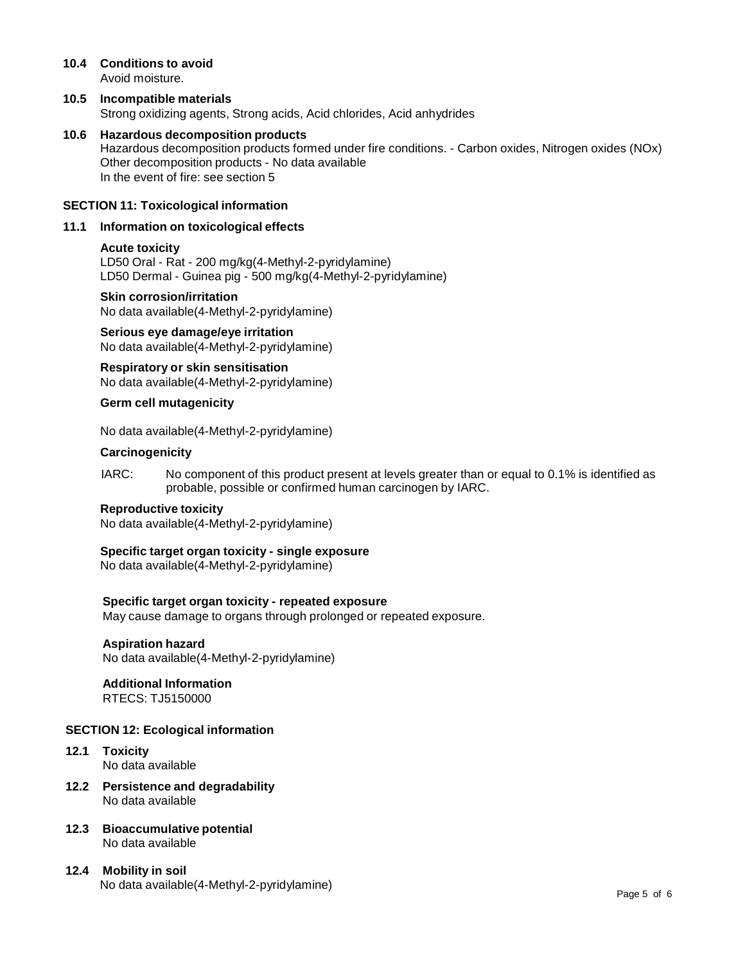#### **10.4 Conditions to avoid** Avoid moisture.

## **10.5 Incompatible materials** Strong oxidizing agents, Strong acids, Acid chlorides, Acid anhydrides

## **10.6 Hazardous decomposition products**

Hazardous decomposition products formed under fire conditions. - Carbon oxides, Nitrogen oxides (NOx) Other decomposition products - No data available In the event of fire: see section 5

## **SECTION 11: Toxicological information**

## **11.1 Information on toxicological effects**

## **Acute toxicity**

LD50 Oral - Rat - 200 mg/kg(4-Methyl-2-pyridylamine) LD50 Dermal - Guinea pig - 500 mg/kg(4-Methyl-2-pyridylamine)

### **Skin corrosion/irritation**

No data available(4-Methyl-2-pyridylamine)

**Serious eye damage/eye irritation** No data available(4-Methyl-2-pyridylamine)

**Respiratory orskin sensitisation** No data available(4-Methyl-2-pyridylamine)

### **Germ cell mutagenicity**

No data available(4-Methyl-2-pyridylamine)

#### **Carcinogenicity**

IARC: No component of this product present at levels greater than or equal to 0.1% is identified as probable, possible or confirmed human carcinogen by IARC.

### **Reproductive toxicity**

No data available(4-Methyl-2-pyridylamine)

## **Specific target organ toxicity - single exposure**

No data available(4-Methyl-2-pyridylamine)

## **Specific target organ toxicity - repeated exposure**

May cause damage to organs through prolonged or repeated exposure.

## **Aspiration hazard**

No data available(4-Methyl-2-pyridylamine)

## **Additional Information**

RTECS: TJ5150000

## **SECTION 12: Ecological information**

- **12.1 Toxicity** No data available
- **12.2 Persistence and degradability** No data available
- **12.3 Bioaccumulative potential** No data available
- **12.4 Mobility in soil** No data available(4-Methyl-2-pyridylamine)